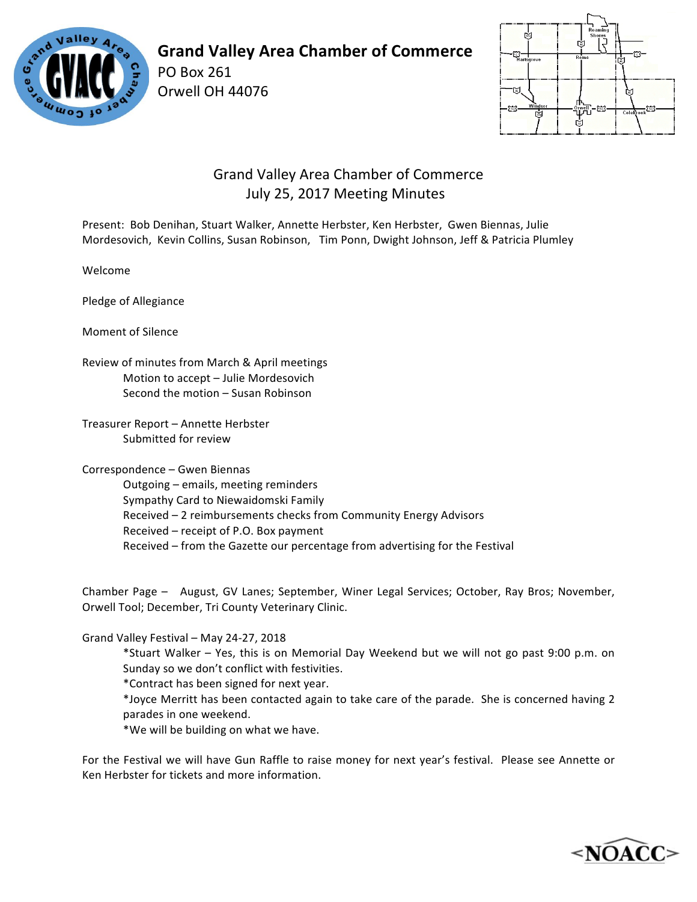

## **Grand Valley Area Chamber of Commerce**

PO Box 261 Orwell OH 44076



## Grand Valley Area Chamber of Commerce July 25, 2017 Meeting Minutes

Present: Bob Denihan, Stuart Walker, Annette Herbster, Ken Herbster, Gwen Biennas, Julie Mordesovich, Kevin Collins, Susan Robinson, Tim Ponn, Dwight Johnson, Jeff & Patricia Plumley

Welcome

Pledge of Allegiance

Moment of Silence

Review of minutes from March & April meetings Motion to accept - Julie Mordesovich Second the motion - Susan Robinson

Treasurer Report - Annette Herbster Submitted for review

Correspondence - Gwen Biennas

Outgoing – emails, meeting reminders Sympathy Card to Niewaidomski Family Received – 2 reimbursements checks from Community Energy Advisors Received - receipt of P.O. Box payment Received – from the Gazette our percentage from advertising for the Festival

Chamber Page - August, GV Lanes; September, Winer Legal Services; October, Ray Bros; November, Orwell Tool; December, Tri County Veterinary Clinic.

Grand Valley Festival - May 24-27, 2018

\*Stuart Walker – Yes, this is on Memorial Day Weekend but we will not go past 9:00 p.m. on Sunday so we don't conflict with festivities.

\*Contract has been signed for next year.

\*Joyce Merritt has been contacted again to take care of the parade. She is concerned having 2 parades in one weekend.

\*We will be building on what we have.

For the Festival we will have Gun Raffle to raise money for next year's festival. Please see Annette or Ken Herbster for tickets and more information.